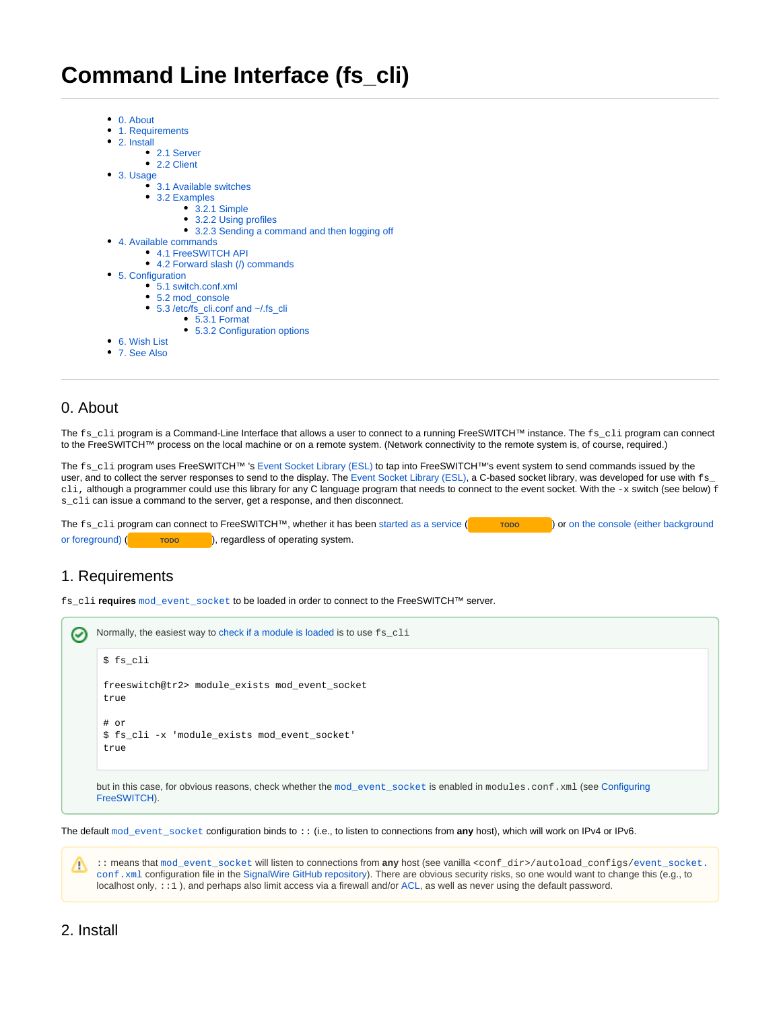# **Command Line Interface (fs\_cli)**

- [0. About](#page-0-0)
- [1. Requirements](#page-0-1)
- [2. Install](#page-0-2)
	- [2.1 Server](#page-0-3)
	- [2.2 Client](#page-1-0)
- [3. Usage](#page-1-1)
	- [3.1 Available switches](#page-1-2)
	- [3.2 Examples](#page-1-3)
		- [3.2.1 Simple](#page-1-4)
		- [3.2.2 Using profiles](#page-1-5)
		- [3.2.3 Sending a command and then logging off](#page-1-6)
- [4. Available commands](#page-2-0)
	- [4.1 FreeSWITCH API](#page-2-1)
	- [4.2 Forward slash \(/\) commands](#page-2-2)
- [5. Configuration](#page-4-0)
	- [5.1 switch.conf.xml](#page-4-1)
	- [5.2 mod\\_console](#page-4-2)
	- [5.3 /etc/fs\\_cli.conf and ~/.fs\\_cli](#page-4-3)
		- [5.3.1 Format](#page-4-4)
			- [5.3.2 Configuration options](#page-4-5)
- [6. Wish List](#page-5-0)
- [7. See Also](#page-5-1)

### <span id="page-0-0"></span>0. About

The fs\_cli program is a Command-Line Interface that allows a user to connect to a running FreeSWITCH™ instance. The fs\_cli program can connect to the FreeSWITCH™ process on the local machine or on a remote system. (Network connectivity to the remote system is, of course, required.)

The fs\_cli program uses FreeSWITCH™ 's [Event Socket Library \(ESL\)](https://freeswitch.org/confluence/display/FREESWITCH/Event+Socket+Library) to tap into FreeSWITCH™'s event system to send commands issued by the user, and to collect the server responses to send to the display. The [Event Socket Library \(ESL\),](https://freeswitch.org/confluence/display/FREESWITCH/Event+Socket+Library) a C-based socket library, was developed for use with  $f_{15}$ cli, although a programmer could use this library for any C language program that needs to connect to the event socket. With the  $-x$  switch (see below) f s\_cli can issue a command to the server, get a response, and then disconnect.

The fs\_cli program can connect to FreeSWITCH™, whether it has been [started as a service](https://freeswitch.org/confluence/pages/viewpage.action?pageId=15696307) (**TODO** ) or on the console (either background [or foreground\)](https://freeswitch.org/confluence/pages/viewpage.action?pageId=15696307) (**TODO** ), regardless of operating system.

### <span id="page-0-1"></span>1. Requirements

fs\_cli **requires** [mod\\_event\\_socket](https://freeswitch.org/confluence/display/FREESWITCH/mod_event_socket) to be loaded in order to connect to the FreeSWITCH™ server.

```
Normally, the easiest way to check if a module is loaded is to use fs_cli
の
     $ fs_cli
     freeswitch@tr2> module_exists mod_event_socket
     true
     # or
     $ fs_cli -x 'module_exists mod_event_socket'
     true
    mod_event_socket is enabled in modules.conf.xml (see Configuring
    FreeSWITCH).
```
The default mod event socket configuration binds to :: (i.e., to listen to connections from any host), which will work on IPv4 or IPv6.

<span id="page-0-3"></span><span id="page-0-2"></span>:: means that [mod\\_event\\_socket](https://freeswitch.org/confluence/display/FREESWITCH/mod_event_socket) will listen to connections from **any** host (see vanilla <conf\_dir>/autoload\_configs[/event\\_socket.](https://github.com/signalwire/freeswitch/blob/a5cecbfc2a5e0ea2d3f45489f2681a67e32ce955/conf/vanilla/autoload_configs/event_socket.conf.xml) ╱╲ conf. xml configuration file in the [SignalWire GitHub repository\)](https://github.com/signalwire/freeswitch). There are obvious security risks, so one would want to change this (e.g., to localhost only, ::1 ), and perhaps also limit access via a firewall and/or [ACL](https://wiki.freeswitch.org/wiki/ACL), as well as never using the default password.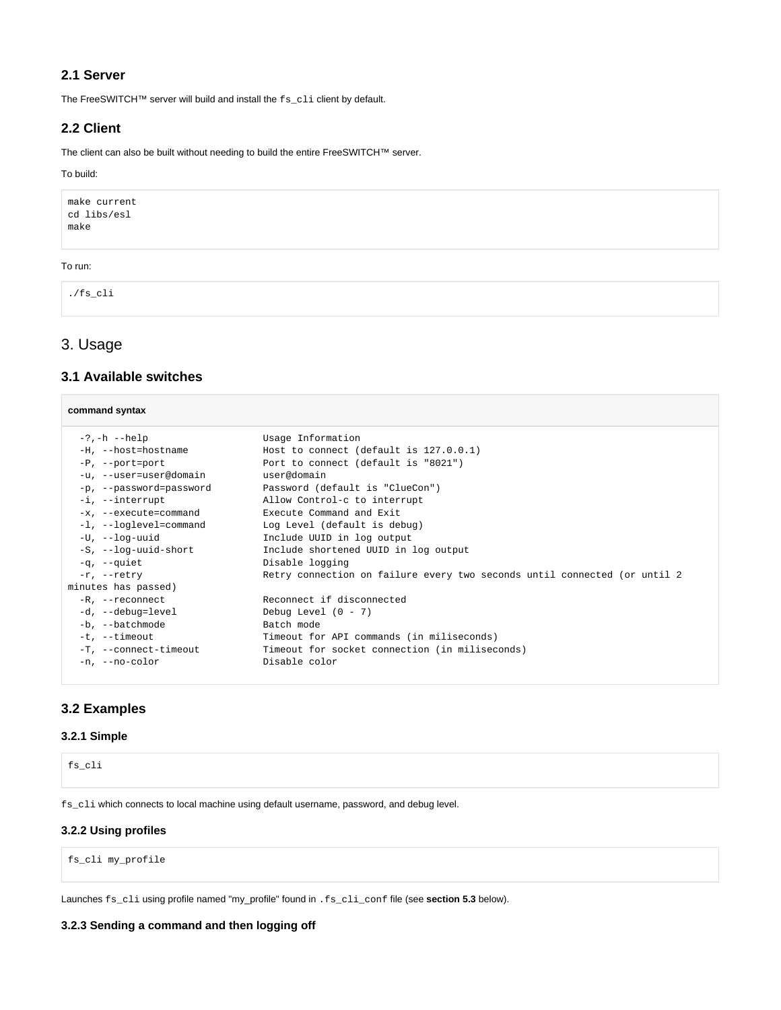### **2.1 Server**

The FreeSWITCH™ server will build and install the fs\_cli client by default.

### <span id="page-1-0"></span>**2.2 Client**

The client can also be built without needing to build the entire FreeSWITCH™ server.

#### To build:

make current cd libs/esl make

#### To run:

./fs\_cli

### <span id="page-1-1"></span>3. Usage

### <span id="page-1-2"></span>**3.1 Available switches**

| Usage Information                                                                                                                                                                                                                                                                                                                                                                                                                                              |
|----------------------------------------------------------------------------------------------------------------------------------------------------------------------------------------------------------------------------------------------------------------------------------------------------------------------------------------------------------------------------------------------------------------------------------------------------------------|
| Host to connect (default is $127.0.0.1$ )                                                                                                                                                                                                                                                                                                                                                                                                                      |
| Port to connect (default is "8021")                                                                                                                                                                                                                                                                                                                                                                                                                            |
| user@domain                                                                                                                                                                                                                                                                                                                                                                                                                                                    |
| Password (default is "ClueCon")                                                                                                                                                                                                                                                                                                                                                                                                                                |
| Allow Control-c to interrupt                                                                                                                                                                                                                                                                                                                                                                                                                                   |
| Execute Command and Exit                                                                                                                                                                                                                                                                                                                                                                                                                                       |
| Log Level (default is debug)                                                                                                                                                                                                                                                                                                                                                                                                                                   |
| Include UUID in log output                                                                                                                                                                                                                                                                                                                                                                                                                                     |
| Include shortened UUID in log output                                                                                                                                                                                                                                                                                                                                                                                                                           |
| Disable logging                                                                                                                                                                                                                                                                                                                                                                                                                                                |
| Retry connection on failure every two seconds until connected (or until 2)                                                                                                                                                                                                                                                                                                                                                                                     |
|                                                                                                                                                                                                                                                                                                                                                                                                                                                                |
| Reconnect if disconnected                                                                                                                                                                                                                                                                                                                                                                                                                                      |
| Debug Level $(0 - 7)$                                                                                                                                                                                                                                                                                                                                                                                                                                          |
| Batch mode                                                                                                                                                                                                                                                                                                                                                                                                                                                     |
| Timeout for API commands (in miliseconds)                                                                                                                                                                                                                                                                                                                                                                                                                      |
| Timeout for socket connection (in miliseconds)                                                                                                                                                                                                                                                                                                                                                                                                                 |
| Disable color                                                                                                                                                                                                                                                                                                                                                                                                                                                  |
| command syntax<br>$-?$ , $-h -$ help<br>-H, --host=hostname<br>$-P$ , $--port=port$<br>-u, --user=user@domain<br>-p, --password=password<br>-i, --interrupt<br>-x, --execute=command<br>-1, --loglevel=command<br>$-U$ , $-$ loq-uuid<br>-S, --log-uuid-short<br>$-\sigma$ , $-\sigma$ uiet<br>$-r$ , $-retry$<br>minutes has passed)<br>-R, --reconnect<br>-d, --debug=level<br>-b, --batchmode<br>-t, --timeout<br>-T, --connect-timeout<br>$-n.$ --no-color |

### <span id="page-1-3"></span>**3.2 Examples**

#### <span id="page-1-4"></span>**3.2.1 Simple**

fs\_cli

fs\_cli which connects to local machine using default username, password, and debug level.

#### <span id="page-1-5"></span>**3.2.2 Using profiles**

fs\_cli my\_profile

Launches fs\_cli using profile named "my\_profile" found in .fs\_cli\_conf file (see **section 5.3** below).

#### <span id="page-1-6"></span>**3.2.3 Sending a command and then logging off**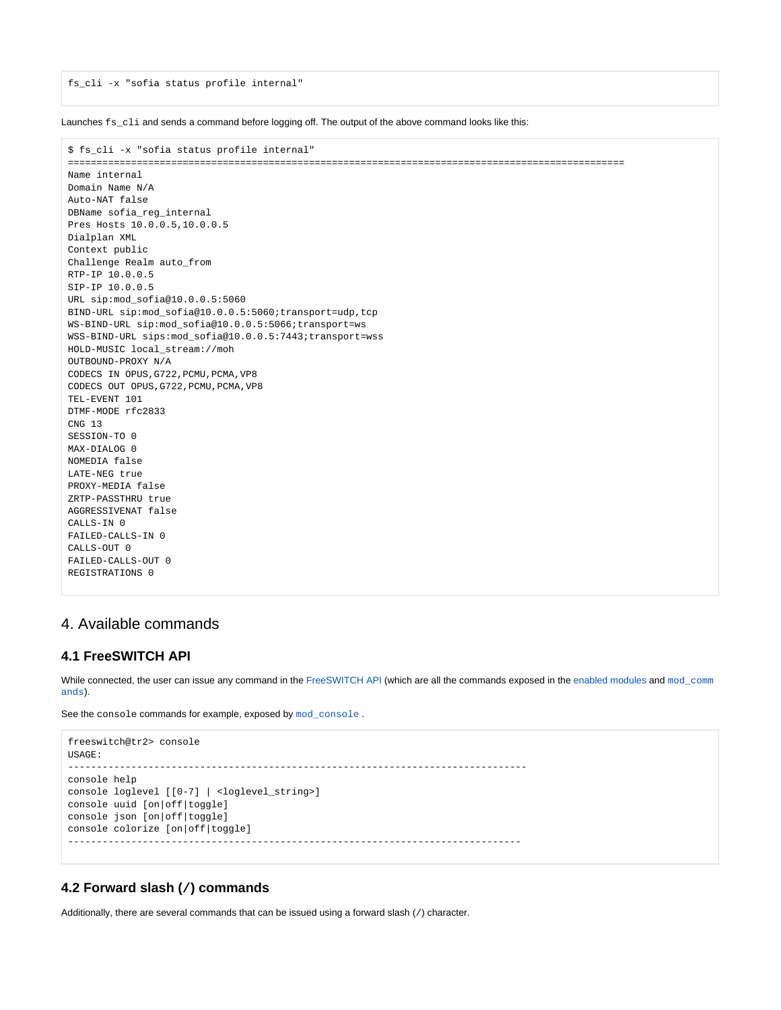fs\_cli -x "sofia status profile internal"

Launches fs cli and sends a command before logging off. The output of the above command looks like this:

```
$ fs_cli -x "sofia status profile internal"
=================================================================================================
Name internal
Domain Name N/A
Auto-NAT false
DBName sofia_reg_internal
Pres Hosts 10.0.0.5,10.0.0.5
Dialplan XML
Context public
Challenge Realm auto_from
RTP-IP 10.0.0.5
SIP-IP 10.0.0.5
URL sip:mod_sofia@10.0.0.5:5060
BIND-URL sip:mod_sofia@10.0.0.5:5060;transport=udp,tcp
WS-BIND-URL sip:mod_sofia@10.0.0.5:5066;transport=ws
WSS-BIND-URL sips:mod_sofia@10.0.0.5:7443;transport=wss
HOLD-MUSIC local_stream://moh
OUTBOUND-PROXY N/A
CODECS IN OPUS,G722,PCMU,PCMA,VP8
CODECS OUT OPUS, G722, PCMU, PCMA, VP8
TEL-EVENT 101
DTMF-MODE rfc2833
CNG 13
SESSION-TO 0
MAX-DIALOG 0
NOMEDIA false
LATE-NEG true
PROXY-MEDIA false
ZRTP-PASSTHRU true
AGGRESSIVENAT false
CALLS-IN 0
FAILED-CALLS-IN 0
CALLS-OUT 0
FAILED-CALLS-OUT 0
REGISTRATIONS 0
```
### <span id="page-2-0"></span>4. Available commands

### <span id="page-2-1"></span>**4.1 FreeSWITCH API**

While connected, the user can issue any command in the [FreeSWITCH API](https://freeswitch.org/confluence/display/FREESWITCH/FreeSWITCH+API) (which are all the commands exposed in the [enabled modules](https://freeswitch.org/confluence/display/FREESWITCH/Configuring+FreeSWITCH#ConfiguringFreeSWITCH-modules.conf.xml) and [mod\\_comm](https://freeswitch.org/confluence/display/FREESWITCH/mod_commands) [ands](https://freeswitch.org/confluence/display/FREESWITCH/mod_commands)).

See the console commands for example, exposed by [mod\\_console](https://freeswitch.org/confluence/display/FREESWITCH/mod_console).

```
freeswitch@tr2> console
USAGE:
--------------------------------------------------------------------------------
console help
console loglevel [[0-7] | <loglevel_string>]
console uuid [on|off|toggle]
console json [on|off|toggle]
console colorize [on|off|toggle]
-------------------------------------------------------------------------------
```
### <span id="page-2-2"></span>**4.2 Forward slash (/) commands**

Additionally, there are several commands that can be issued using a forward slash (/) character.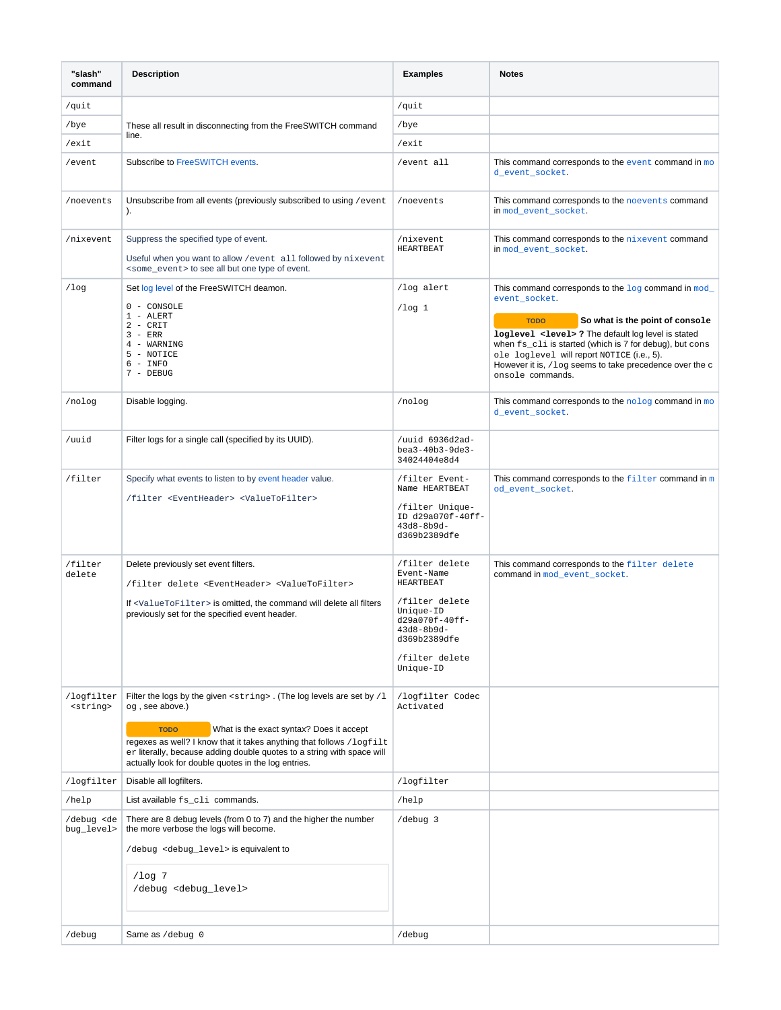| "slash"<br>command                  | <b>Description</b>                                                                                                                                                                                                                                                                                                                                                         | <b>Examples</b>                                                                                                                                                | <b>Notes</b>                                                                                                                                                                                                                                                                                                                                                                          |
|-------------------------------------|----------------------------------------------------------------------------------------------------------------------------------------------------------------------------------------------------------------------------------------------------------------------------------------------------------------------------------------------------------------------------|----------------------------------------------------------------------------------------------------------------------------------------------------------------|---------------------------------------------------------------------------------------------------------------------------------------------------------------------------------------------------------------------------------------------------------------------------------------------------------------------------------------------------------------------------------------|
| /quit                               |                                                                                                                                                                                                                                                                                                                                                                            | /quit                                                                                                                                                          |                                                                                                                                                                                                                                                                                                                                                                                       |
| /bye                                | These all result in disconnecting from the FreeSWITCH command                                                                                                                                                                                                                                                                                                              | /bye                                                                                                                                                           |                                                                                                                                                                                                                                                                                                                                                                                       |
| /exit                               | line.                                                                                                                                                                                                                                                                                                                                                                      | /exit                                                                                                                                                          |                                                                                                                                                                                                                                                                                                                                                                                       |
| /event                              | Subscribe to FreeSWITCH events.                                                                                                                                                                                                                                                                                                                                            | /event all                                                                                                                                                     | This command corresponds to the event command in $mo$<br>d_event_socket.                                                                                                                                                                                                                                                                                                              |
| /noevents                           | Unsubscribe from all events (previously subscribed to using / event<br>$\mathcal{L}$                                                                                                                                                                                                                                                                                       | /noevents                                                                                                                                                      | This command corresponds to the noevents command<br>in mod event socket.                                                                                                                                                                                                                                                                                                              |
| /nixevent                           | Suppress the specified type of event.<br>Useful when you want to allow / event all followed by nixevent<br><some_event> to see all but one type of event.</some_event>                                                                                                                                                                                                     | /nixevent<br><b>HEARTBEAT</b>                                                                                                                                  | This command corresponds to the nixevent command<br>in mod_event_socket.                                                                                                                                                                                                                                                                                                              |
| 10 <sub>q</sub>                     | Set log level of the FreeSWITCH deamon.<br>0 - CONSOLE<br>1 - ALERT<br>$2 - CRT$<br>$3 - ERR$<br>4 - WARNING<br>5 - NOTICE<br>$6 - INFO$<br>7 - DEBUG                                                                                                                                                                                                                      | /log alert<br>$1$ og 1                                                                                                                                         | This command corresponds to the $\log$ command in $\mod$<br>event_socket.<br><b>TODO</b><br>So what is the point of console<br>loglevel <level> ? The default log level is stated<br/>when fs_cli is started (which is 7 for debug), but cons<br/>ole loglevel will report NOTICE (i.e., 5).<br/>However it is, /log seems to take precedence over the c<br/>onsole commands.</level> |
| /nolog                              | Disable logging.                                                                                                                                                                                                                                                                                                                                                           | /nolog                                                                                                                                                         | This command corresponds to the nolog command in mo<br>d_event_socket.                                                                                                                                                                                                                                                                                                                |
| /uuid                               | Filter logs for a single call (specified by its UUID).                                                                                                                                                                                                                                                                                                                     | /uuid 6936d2ad-<br>bea3-40b3-9de3-<br>34024404e8d4                                                                                                             |                                                                                                                                                                                                                                                                                                                                                                                       |
| /filter                             | Specify what events to listen to by event header value.<br>/filter <eventheader> <valuetofilter></valuetofilter></eventheader>                                                                                                                                                                                                                                             | /filter Event-<br>Name HEARTBEAT<br>/filter Unique-<br>ID d29a070f-40ff-<br>$43d8 - 8b9d -$<br>d369b2389dfe                                                    | This command corresponds to the $f$ ilter command in m<br>od_event_socket.                                                                                                                                                                                                                                                                                                            |
| /filter<br>delete                   | Delete previously set event filters.<br>/filter delete <eventheader> <valuetofilter><br/>If <valuetofilter> is omitted, the command will delete all filters<br/>previously set for the specified event header.</valuetofilter></valuetofilter></eventheader>                                                                                                               | /filter delete<br>Event-Name<br>HEARTBEAT<br>/filter delete<br>$Unique-ID$<br>d29a070f-40ff-<br>$43d8 - 8b9d -$<br>d369b2389dfe<br>/filter delete<br>Unique-ID | This command corresponds to the filter delete<br>command in mod_event_socket.                                                                                                                                                                                                                                                                                                         |
| /logfilter<br><string></string>     | Filter the logs by the given <string>. (The log levels are set by /1<br/>og, see above.)<br/>What is the exact syntax? Does it accept<br/><b>TODO</b><br/>regexes as well? I know that it takes anything that follows /logfilt<br/>er literally, because adding double quotes to a string with space will<br/>actually look for double quotes in the log entries.</string> | /logfilter Codec<br>Activated                                                                                                                                  |                                                                                                                                                                                                                                                                                                                                                                                       |
| /logfilter                          | Disable all logfilters.                                                                                                                                                                                                                                                                                                                                                    | /logfilter                                                                                                                                                     |                                                                                                                                                                                                                                                                                                                                                                                       |
| /help                               | List available fs_cli commands.                                                                                                                                                                                                                                                                                                                                            | /help                                                                                                                                                          |                                                                                                                                                                                                                                                                                                                                                                                       |
| /debug <de<br>bug_level&gt;</de<br> | There are 8 debug levels (from 0 to 7) and the higher the number<br>the more verbose the logs will become.<br>/debug <debug_level> is equivalent to<br/><math>1</math>og 7<br/>/debug <debug_level></debug_level></debug_level>                                                                                                                                            | /debug 3                                                                                                                                                       |                                                                                                                                                                                                                                                                                                                                                                                       |
| /debug                              | Same as /debug 0                                                                                                                                                                                                                                                                                                                                                           | /debug                                                                                                                                                         |                                                                                                                                                                                                                                                                                                                                                                                       |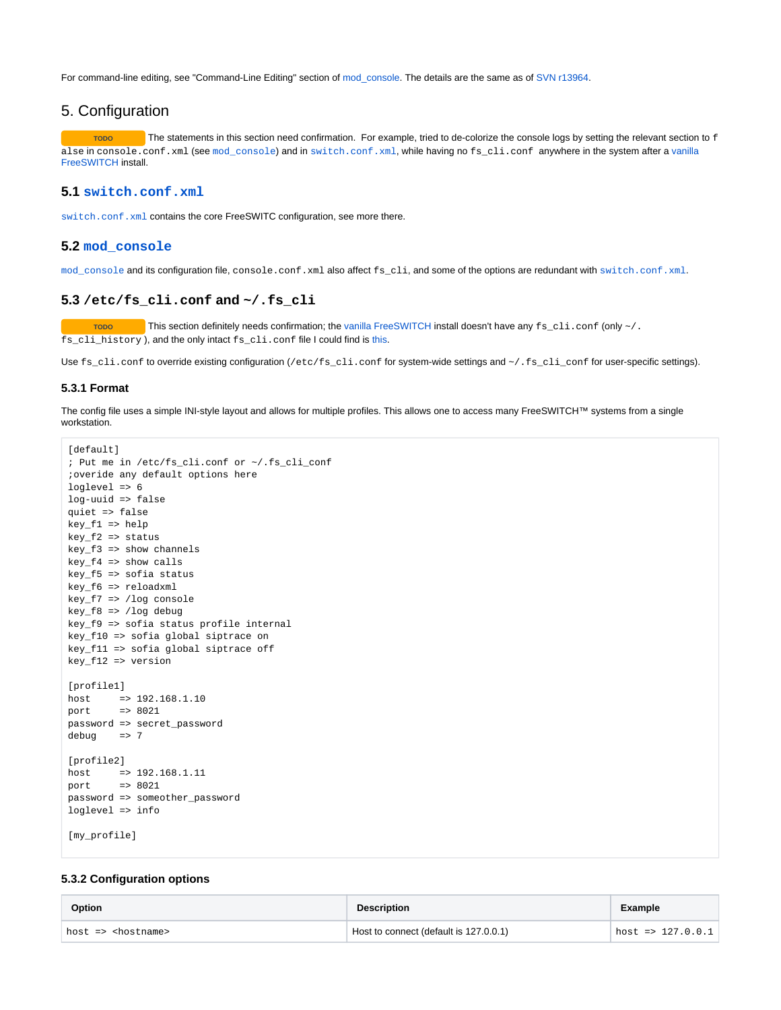For command-line editing, see "Command-Line Editing" section of [mod\\_console](https://wiki.freeswitch.org/wiki/Mod_console#Command-Line_Editing). The details are the same as of [SVN r13964](http://fisheye.freeswitch.org/changelog/FreeSWITCH/?cs=13964).

### <span id="page-4-0"></span>5. Configuration

Topo<br>
The statements in this section need confirmation. For example, tried to de-colorize the console logs by setting the relevant section to f alse in console.conf.xml (see [mod\\_console](https://freeswitch.org/confluence/display/FREESWITCH/mod_console)) and in [switch.conf.xml](https://freeswitch.org/confluence/display/FREESWITCH/Switch.conf.xml), while having no fs\_cli.conf anywhere in the system after a [vanilla](https://freeswitch.org/confluence/display/FREESWITCH/Vanilla+installation+files)  [FreeSWITCH](https://freeswitch.org/confluence/display/FREESWITCH/Vanilla+installation+files) install.

#### <span id="page-4-1"></span>**5.1 [switch.conf.xml](https://freeswitch.org/confluence/display/FREESWITCH/Switch.conf.xml)**

[switch.conf.xml](https://freeswitch.org/confluence/display/FREESWITCH/Switch.conf.xml) contains the core FreeSWITC configuration, see more there.

#### <span id="page-4-2"></span>**5.2 [mod\\_console](https://freeswitch.org/confluence/display/FREESWITCH/mod_console)**

mod console and its configuration file, console.conf.xml also affect fs cli, and some of the options are redundant with [switch.conf.xml](https://freeswitch.org/confluence/display/FREESWITCH/Switch.conf.xml).

#### <span id="page-4-3"></span>**5.3 /etc/fs\_cli.conf and ~/.fs\_cli**

Topo **This section definitely needs confirmation; the [vanilla FreeSWITCH](https://freeswitch.org/confluence/display/FREESWITCH/Vanilla+installation+files) install doesn't have any fs\_cli.conf (only ~/.** fs\_cli\_history ), and the only intact fs\_cli.conf file I could find is [this.](https://github.com/signalwire/freeswitch/blob/master/libs/esl/fs_cli.conf)

Use fs\_cli.conf to override existing configuration (/etc/fs\_cli.conf for system-wide settings and ~/.fs\_cli\_conf for user-specific settings).

#### <span id="page-4-4"></span>**5.3.1 Format**

The config file uses a simple INI-style layout and allows for multiple profiles. This allows one to access many FreeSWITCH™ systems from a single workstation.

```
[default]
; Put me in /etc/fs_cli.conf or ~/.fs_cli_conf
;overide any default options here
loglevel => 6
log-uuid => false
quiet => false
key_f1 => help
key_f2 => status
key_f3 => show channels
key_f4 => show calls
key_f5 => sofia status
key_f6 => reloadxml
key_f7 => /log console
key_f8 => /log debug
key_f9 => sofia status profile internal
key_f10 => sofia global siptrace on
key_f11 => sofia global siptrace off
key_f12 => version
[profile1]
host => 192.168.1.10
port => 8021
password => secret_password
debug => 7
[profile2]
host => 192.168.1.11
port => 8021
password => someother_password
loglevel => info
[my_profile]
```
#### <span id="page-4-5"></span>**5.3.2 Configuration options**

| <b>Option</b>                 | <b>Description</b>                     | Example                    |
|-------------------------------|----------------------------------------|----------------------------|
| host => <hostname></hostname> | Host to connect (default is 127.0.0.1) | $\text{host}$ => 127.0.0.1 |